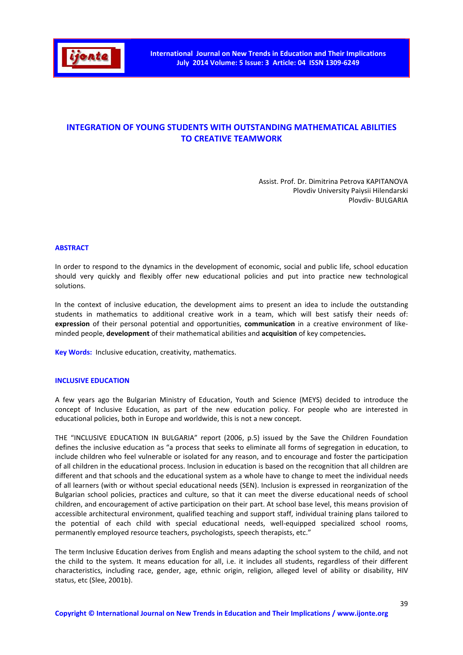

# **INTEGRATION OF YOUNG STUDENTS WITH OUTSTANDING MATHEMATICAL ABILITIES TO CREATIVE TEAMWORK**

Assist. Prof. Dr. Dimitrina Petrova KAPITANOVA Plovdiv University Paiysii Hilendarski Plovdiv- BULGARIA

#### **ABSTRACT**

In order to respond to the dynamics in the development of economic, social and public life, school education should very quickly and flexibly offer new educational policies and put into practice new technological solutions.

In the context of inclusive education, the development aims to present an idea to include the outstanding students in mathematics to additional creative work in a team, which will best satisfy their needs of: **expression** of their personal potential and opportunities, **communication** in a creative environment of likeminded people, **development** of their mathematical abilities and **acquisition** of key competencies**.** 

**Key Words:** Inclusive education, creativity, mathematics.

#### **INCLUSIVE EDUCATION**

A few years ago the Bulgarian Ministry of Education, Youth and Science (MEYS) decided to introduce the concept of Inclusive Education, as part of the new education policy. For people who are interested in educational policies, both in Europe and worldwide, this is not a new concept.

THE "INCLUSIVE EDUCATION IN BULGARIA" report (2006, p.5) issued by the Save the Children Foundation defines the inclusive education as "a process that seeks to eliminate all forms of segregation in education, to include children who feel vulnerable or isolated for any reason, and to encourage and foster the participation of all children in the educational process. Inclusion in education is based on the recognition that all children are different and that schools and the educational system as a whole have to change to meet the individual needs of all learners (with or without special educational needs (SEN). Inclusion is expressed in reorganization of the Bulgarian school policies, practices and culture, so that it can meet the diverse educational needs of school children, and encouragement of active participation on their part. At school base level, this means provision of accessible architectural environment, qualified teaching and support staff, individual training plans tailored to the potential of each child with special educational needs, well-equipped specialized school rooms, permanently employed resource teachers, psychologists, speech therapists, etc."

The term Inclusive Education derives from English and means adapting the school system to the child, and not the child to the system. It means education for all, i.e. it includes all students, regardless of their different characteristics, including race, gender, age, ethnic origin, religion, alleged level of ability or disability, HIV status, etc (Slee, 2001b).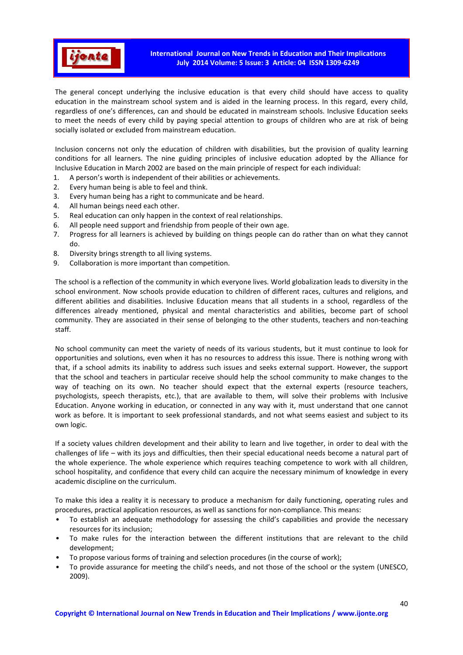

The general concept underlying the inclusive education is that every child should have access to quality education in the mainstream school system and is aided in the learning process. In this regard, every child, regardless of one's differences, can and should be educated in mainstream schools. Inclusive Education seeks to meet the needs of every child by paying special attention to groups of children who are at risk of being socially isolated or excluded from mainstream education.

Inclusion concerns not only the education of children with disabilities, but the provision of quality learning conditions for all learners. The nine guiding principles of inclusive education adopted by the Alliance for Inclusive Education in March 2002 are based on the main principle of respect for each individual:

- 1. A person's worth is independent of their abilities or achievements.
- 2. Every human being is able to feel and think.
- 3. Every human being has a right to communicate and be heard.
- 4. All human beings need each other.
- 5. Real education can only happen in the context of real relationships.
- 6. All people need support and friendship from people of their own age.
- 7. Progress for all learners is achieved by building on things people can do rather than on what they cannot do.
- 8. Diversity brings strength to all living systems.
- 9. Collaboration is more important than competition.

The school is a reflection of the community in which everyone lives. World globalization leads to diversity in the school environment. Now schools provide education to children of different races, cultures and religions, and different abilities and disabilities. Inclusive Education means that all students in a school, regardless of the differences already mentioned, physical and mental characteristics and abilities, become part of school community. They are associated in their sense of belonging to the other students, teachers and non-teaching staff.

No school community can meet the variety of needs of its various students, but it must continue to look for opportunities and solutions, even when it has no resources to address this issue. There is nothing wrong with that, if a school admits its inability to address such issues and seeks external support. However, the support that the school and teachers in particular receive should help the school community to make changes to the way of teaching on its own. No teacher should expect that the external experts (resource teachers, psychologists, speech therapists, etc.), that are available to them, will solve their problems with Inclusive Education. Anyone working in education, or connected in any way with it, must understand that one cannot work as before. It is important to seek professional standards, and not what seems easiest and subject to its own logic.

If a society values children development and their ability to learn and live together, in order to deal with the challenges of life – with its joys and difficulties, then their special educational needs become a natural part of the whole experience. The whole experience which requires teaching competence to work with all children, school hospitality, and confidence that every child can acquire the necessary minimum of knowledge in every academic discipline on the curriculum.

To make this idea a reality it is necessary to produce a mechanism for daily functioning, operating rules and procedures, practical application resources, as well as sanctions for non-compliance. This means:

- To establish an adequate methodology for assessing the child's capabilities and provide the necessary resources for its inclusion;
- To make rules for the interaction between the different institutions that are relevant to the child development;
- To propose various forms of training and selection procedures (in the course of work);
- To provide assurance for meeting the child's needs, and not those of the school or the system (UNESCO, 2009).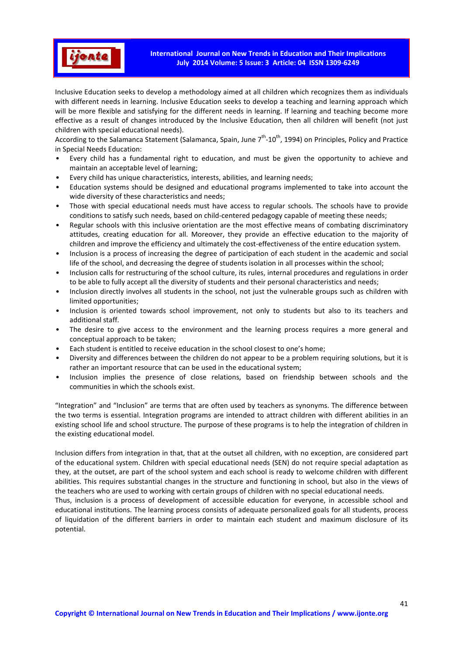

Inclusive Education seeks to develop a methodology aimed at all children which recognizes them as individuals with different needs in learning. Inclusive Education seeks to develop a teaching and learning approach which will be more flexible and satisfying for the different needs in learning. If learning and teaching become more effective as a result of changes introduced by the Inclusive Education, then all children will benefit (not just children with special educational needs).

According to the Salamanca Statement (Salamanca, Spain, June  $7<sup>th</sup>$ -10<sup>th</sup>, 1994) on Principles, Policy and Practice in Special Needs Education:

- Every child has a fundamental right to education, and must be given the opportunity to achieve and maintain an acceptable level of learning;
- Every child has unique characteristics, interests, abilities, and learning needs;
- Education systems should be designed and educational programs implemented to take into account the wide diversity of these characteristics and needs;
- Those with special educational needs must have access to regular schools. The schools have to provide conditions to satisfy such needs, based on child-centered pedagogy capable of meeting these needs;
- Regular schools with this inclusive orientation are the most effective means of combating discriminatory attitudes, creating education for all. Moreover, they provide an effective education to the majority of children and improve the efficiency and ultimately the cost-effectiveness of the entire education system.
- Inclusion is a process of increasing the degree of participation of each student in the academic and social life of the school, and decreasing the degree of students isolation in all processes within the school;
- Inclusion calls for restructuring of the school culture, its rules, internal procedures and regulations in order to be able to fully accept all the diversity of students and their personal characteristics and needs;
- Inclusion directly involves all students in the school, not just the vulnerable groups such as children with limited opportunities;
- Inclusion is oriented towards school improvement, not only to students but also to its teachers and additional staff.
- The desire to give access to the environment and the learning process requires a more general and conceptual approach to be taken;
- Each student is entitled to receive education in the school closest to one's home;
- Diversity and differences between the children do not appear to be a problem requiring solutions, but it is rather an important resource that can be used in the educational system;
- Inclusion implies the presence of close relations, based on friendship between schools and the communities in which the schools exist.

"Integration" and "Inclusion" are terms that are often used by teachers as synonyms. The difference between the two terms is essential. Integration programs are intended to attract children with different abilities in an existing school life and school structure. The purpose of these programs is to help the integration of children in the existing educational model.

Inclusion differs from integration in that, that at the outset all children, with no exception, are considered part of the educational system. Children with special educational needs (SEN) do not require special adaptation as they, at the outset, are part of the school system and each school is ready to welcome children with different abilities. This requires substantial changes in the structure and functioning in school, but also in the views of the teachers who are used to working with certain groups of children with no special educational needs.

Thus, inclusion is a process of development of accessible education for everyone, in accessible school and educational institutions. The learning process consists of adequate personalized goals for all students, process of liquidation of the different barriers in order to maintain each student and maximum disclosure of its potential.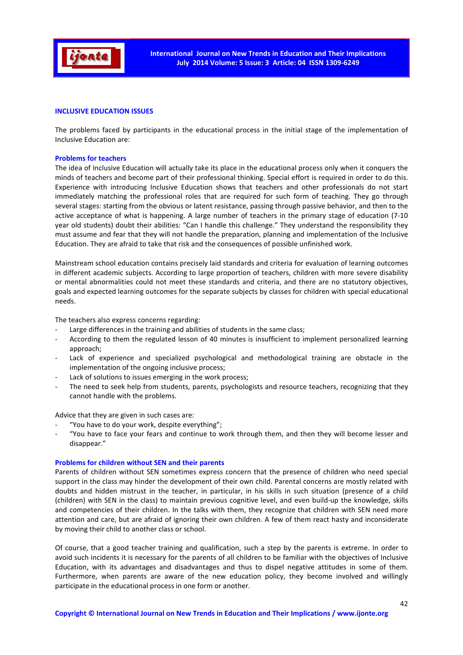

#### **INCLUSIVE EDUCATION ISSUES**

The problems faced by participants in the educational process in the initial stage of the implementation of Inclusive Education are:

#### **Problems for teachers**

The idea of Inclusive Education will actually take its place in the educational process only when it conquers the minds of teachers and become part of their professional thinking. Special effort is required in order to do this. Experience with introducing Inclusive Education shows that teachers and other professionals do not start immediately matching the professional roles that are required for such form of teaching. They go through several stages: starting from the obvious or latent resistance, passing through passive behavior, and then to the active acceptance of what is happening. A large number of teachers in the primary stage of education (7-10 year old students) doubt their abilities: "Can I handle this challenge." They understand the responsibility they must assume and fear that they will not handle the preparation, planning and implementation of the Inclusive Education. They are afraid to take that risk and the consequences of possible unfinished work.

Mainstream school education contains precisely laid standards and criteria for evaluation of learning outcomes in different academic subjects. According to large proportion of teachers, children with more severe disability or mental abnormalities could not meet these standards and criteria, and there are no statutory objectives, goals and expected learning outcomes for the separate subjects by classes for children with special educational needs.

The teachers also express concerns regarding:

- Large differences in the training and abilities of students in the same class;
- According to them the regulated lesson of 40 minutes is insufficient to implement personalized learning approach;
- Lack of experience and specialized psychological and methodological training are obstacle in the implementation of the ongoing inclusive process;
- Lack of solutions to issues emerging in the work process;
- The need to seek help from students, parents, psychologists and resource teachers, recognizing that they cannot handle with the problems.

Advice that they are given in such cases are:

- "You have to do your work, despite everything";
- "You have to face your fears and continue to work through them, and then they will become lesser and disappear."

#### **Problems for children without SEN and their parents**

Parents of children without SEN sometimes express concern that the presence of children who need special support in the class may hinder the development of their own child. Parental concerns are mostly related with doubts and hidden mistrust in the teacher, in particular, in his skills in such situation (presence of a child (children) with SEN in the class) to maintain previous cognitive level, and even build-up the knowledge, skills and competencies of their children. In the talks with them, they recognize that children with SEN need more attention and care, but are afraid of ignoring their own children. A few of them react hasty and inconsiderate by moving their child to another class or school.

Of course, that a good teacher training and qualification, such a step by the parents is extreme. In order to avoid such incidents it is necessary for the parents of all children to be familiar with the objectives of Inclusive Education, with its advantages and disadvantages and thus to dispel negative attitudes in some of them. Furthermore, when parents are aware of the new education policy, they become involved and willingly participate in the educational process in one form or another.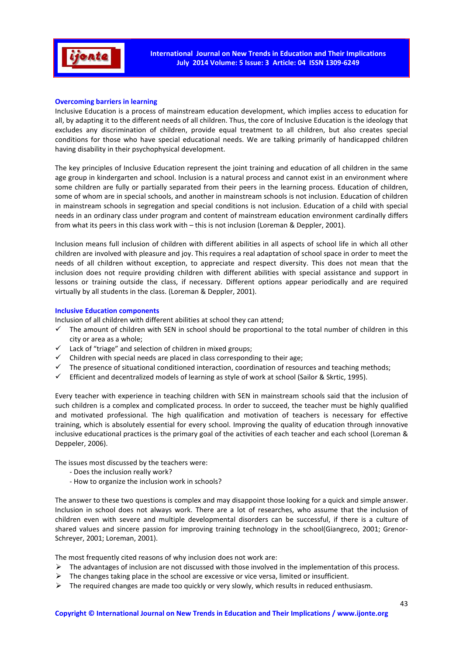

## **Overcoming barriers in learning**

Inclusive Education is a process of mainstream education development, which implies access to education for all, by adapting it to the different needs of all children. Thus, the core of Inclusive Education is the ideology that excludes any discrimination of children, provide equal treatment to all children, but also creates special conditions for those who have special educational needs. We are talking primarily of handicapped children having disability in their psychophysical development.

The key principles of Inclusive Education represent the joint training and education of all children in the same age group in kindergarten and school. Inclusion is a natural process and cannot exist in an environment where some children are fully or partially separated from their peers in the learning process. Education of children, some of whom are in special schools, and another in mainstream schools is not inclusion. Education of children in mainstream schools in segregation and special conditions is not inclusion. Education of a child with special needs in an ordinary class under program and content of mainstream education environment cardinally differs from what its peers in this class work with – this is not inclusion (Loreman & Deppler, 2001).

Inclusion means full inclusion of children with different abilities in all aspects of school life in which all other children are involved with pleasure and joy. This requires a real adaptation of school space in order to meet the needs of all children without exception, to appreciate and respect diversity. This does not mean that the inclusion does not require providing children with different abilities with special assistance and support in lessons or training outside the class, if necessary. Different options appear periodically and are required virtually by all students in the class. (Loreman & Deppler, 2001).

#### **Inclusive Education components**

Inclusion of all children with different abilities at school they can attend;

- $\checkmark$  The amount of children with SEN in school should be proportional to the total number of children in this city or area as a whole;
- $\checkmark$  Lack of "triage" and selection of children in mixed groups;
- $\checkmark$  Children with special needs are placed in class corresponding to their age:
- $\checkmark$  The presence of situational conditioned interaction, coordination of resources and teaching methods;
- $\checkmark$  Efficient and decentralized models of learning as style of work at school (Sailor & Skrtic, 1995).

Every teacher with experience in teaching children with SEN in mainstream schools said that the inclusion of such children is a complex and complicated process. In order to succeed, the teacher must be highly qualified and motivated professional. The high qualification and motivation of teachers is necessary for effective training, which is absolutely essential for every school. Improving the quality of education through innovative inclusive educational practices is the primary goal of the activities of each teacher and each school (Loreman & Deppeler, 2006).

The issues most discussed by the teachers were:

- Does the inclusion really work?
- How to organize the inclusion work in schools?

The answer to these two questions is complex and may disappoint those looking for a quick and simple answer. Inclusion in school does not always work. There are a lot of researches, who assume that the inclusion of children even with severe and multiple developmental disorders can be successful, if there is a culture of shared values and sincere passion for improving training technology in the school(Giangreco, 2001; Grenor-Schreyer, 2001; Loreman, 2001).

The most frequently cited reasons of why inclusion does not work are:

- > The advantages of inclusion are not discussed with those involved in the implementation of this process.
- > The changes taking place in the school are excessive or vice versa, limited or insufficient.
- > The required changes are made too quickly or very slowly, which results in reduced enthusiasm.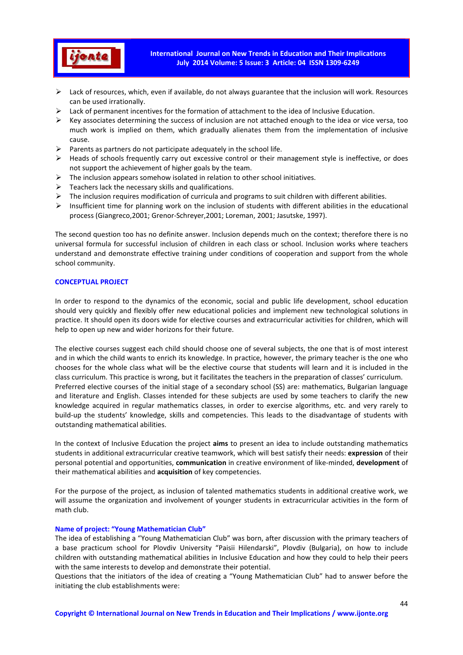

- > Lack of resources, which, even if available, do not always guarantee that the inclusion will work. Resources can be used irrationally.
- > Lack of permanent incentives for the formation of attachment to the idea of Inclusive Education.
- Key associates determining the success of inclusion are not attached enough to the idea or vice versa, too much work is implied on them, which gradually alienates them from the implementation of inclusive cause.
- Parents as partners do not participate adequately in the school life.
- > Heads of schools frequently carry out excessive control or their management style is ineffective, or does not support the achievement of higher goals by the team.
- > The inclusion appears somehow isolated in relation to other school initiatives.
- > Teachers lack the necessary skills and qualifications.
- $\blacktriangleright$ The inclusion requires modification of curricula and programs to suit children with different abilities.
- > Insufficient time for planning work on the inclusion of students with different abilities in the educational process (Giangreco,2001; Grenor-Schreyer,2001; Loreman, 2001; Jasutske, 1997).

The second question too has no definite answer. Inclusion depends much on the context; therefore there is no universal formula for successful inclusion of children in each class or school. Inclusion works where teachers understand and demonstrate effective training under conditions of cooperation and support from the whole school community.

#### **CONCEPTUAL PROJECT**

In order to respond to the dynamics of the economic, social and public life development, school education should very quickly and flexibly offer new educational policies and implement new technological solutions in practice. It should open its doors wide for elective courses and extracurricular activities for children, which will help to open up new and wider horizons for their future.

The elective courses suggest each child should choose one of several subjects, the one that is of most interest and in which the child wants to enrich its knowledge. In practice, however, the primary teacher is the one who chooses for the whole class what will be the elective course that students will learn and it is included in the class curriculum. This practice is wrong, but it facilitates the teachers in the preparation of classes' curriculum. Preferred elective courses of the initial stage of a secondary school (SS) are: mathematics, Bulgarian language and literature and English. Classes intended for these subjects are used by some teachers to clarify the new knowledge acquired in regular mathematics classes, in order to exercise algorithms, etc. and very rarely to build-up the students' knowledge, skills and competencies. This leads to the disadvantage of students with outstanding mathematical abilities.

In the context of Inclusive Education the project **aims** to present an idea to include outstanding mathematics students in additional extracurricular creative teamwork, which will best satisfy their needs: **expression** of their personal potential and opportunities, **communication** in creative environment of like-minded, **development** of their mathematical abilities and **acquisition** of key competencies.

For the purpose of the project, as inclusion of talented mathematics students in additional creative work, we will assume the organization and involvement of younger students in extracurricular activities in the form of math club.

#### **Name of project: "Young Mathematician Club"**

The idea of establishing a "Young Mathematician Club" was born, after discussion with the primary teachers of a base practicum school for Plovdiv University "Paisii Hilendarski", Plovdiv (Bulgaria), on how to include children with outstanding mathematical abilities in Inclusive Education and how they could to help their peers with the same interests to develop and demonstrate their potential.

Questions that the initiators of the idea of creating a "Young Mathematician Club" had to answer before the initiating the club establishments were: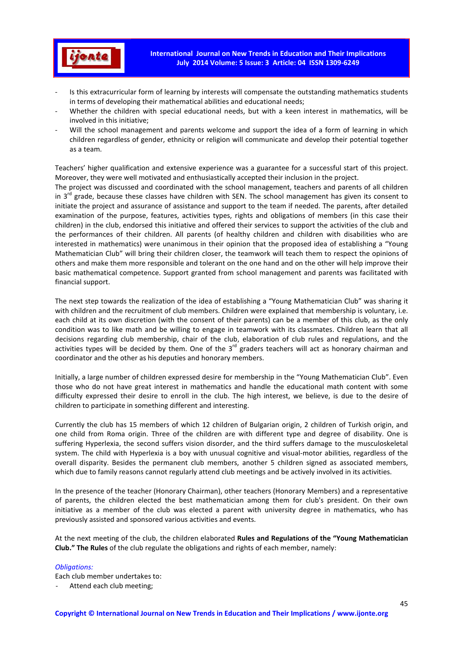

- Is this extracurricular form of learning by interests will compensate the outstanding mathematics students in terms of developing their mathematical abilities and educational needs;
- Whether the children with special educational needs, but with a keen interest in mathematics, will be involved in this initiative;
- Will the school management and parents welcome and support the idea of a form of learning in which children regardless of gender, ethnicity or religion will communicate and develop their potential together as a team.

Teachers' higher qualification and extensive experience was a guarantee for a successful start of this project. Moreover, they were well motivated and enthusiastically accepted their inclusion in the project.

The project was discussed and coordinated with the school management, teachers and parents of all children in  $3<sup>rd</sup>$  grade, because these classes have children with SEN. The school management has given its consent to initiate the project and assurance of assistance and support to the team if needed. The parents, after detailed examination of the purpose, features, activities types, rights and obligations of members (in this case their children) in the club, endorsed this initiative and offered their services to support the activities of the club and the performances of their children. All parents (of healthy children and children with disabilities who are interested in mathematics) were unanimous in their opinion that the proposed idea of establishing a "Young Mathematician Club" will bring their children closer, the teamwork will teach them to respect the opinions of others and make them more responsible and tolerant on the one hand and on the other will help improve their basic mathematical competence. Support granted from school management and parents was facilitated with financial support.

The next step towards the realization of the idea of establishing a "Young Mathematician Club" was sharing it with children and the recruitment of club members. Children were explained that membership is voluntary, i.e. each child at its own discretion (with the consent of their parents) can be a member of this club, as the only condition was to like math and be willing to engage in teamwork with its classmates. Children learn that all decisions regarding club membership, chair of the club, elaboration of club rules and regulations, and the activities types will be decided by them. One of the  $3<sup>rd</sup>$  graders teachers will act as honorary chairman and coordinator and the other as his deputies and honorary members.

Initially, a large number of children expressed desire for membership in the "Young Mathematician Club". Even those who do not have great interest in mathematics and handle the educational math content with some difficulty expressed their desire to enroll in the club. The high interest, we believe, is due to the desire of children to participate in something different and interesting.

Currently the club has 15 members of which 12 children of Bulgarian origin, 2 children of Turkish origin, and one child from Roma origin. Three of the children are with different type and degree of disability. One is suffering Hyperlexia, the second suffers vision disorder, and the third suffers damage to the musculoskeletal system. The child with Hyperlexia is a boy with unusual cognitive and visual-motor abilities, regardless of the overall disparity. Besides the permanent club members, another 5 children signed as associated members, which due to family reasons cannot regularly attend club meetings and be actively involved in its activities.

In the presence of the teacher (Honorary Chairman), other teachers (Honorary Members) and a representative of parents, the children elected the best mathematician among them for club's president. On their own initiative as a member of the club was elected a parent with university degree in mathematics, who has previously assisted and sponsored various activities and events.

At the next meeting of the club, the children elaborated **Rules and Regulations of the "Young Mathematician Club." The Rules** of the club regulate the obligations and rights of each member, namely:

#### *Obligations:*

Each club member undertakes to:

Attend each club meeting;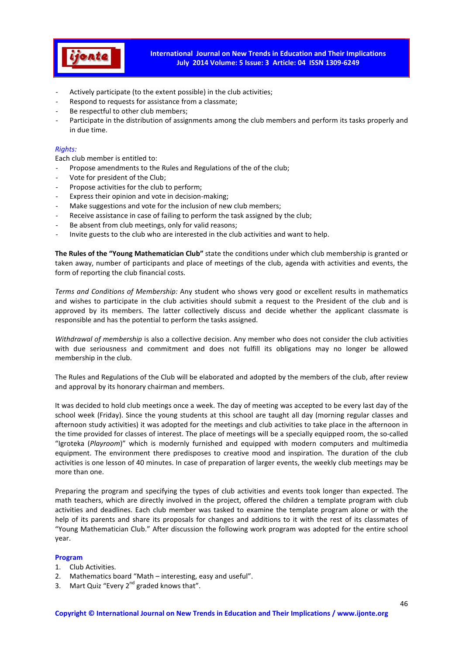

- Actively participate (to the extent possible) in the club activities;
- Respond to requests for assistance from a classmate;
- Be respectful to other club members;
- Participate in the distribution of assignments among the club members and perform its tasks properly and in due time.

# *Rights:*

Each club member is entitled to:

- Propose amendments to the Rules and Regulations of the of the club;
- Vote for president of the Club;
- Propose activities for the club to perform;
- Express their opinion and vote in decision-making;
- Make suggestions and vote for the inclusion of new club members;
- Receive assistance in case of failing to perform the task assigned by the club;
- Be absent from club meetings, only for valid reasons;
- Invite guests to the club who are interested in the club activities and want to help.

**The Rules of the "Young Mathematician Club"** state the conditions under which club membership is granted or taken away, number of participants and place of meetings of the club, agenda with activities and events, the form of reporting the club financial costs.

*Terms and Conditions of Membership:* Any student who shows very good or excellent results in mathematics and wishes to participate in the club activities should submit a request to the President of the club and is approved by its members. The latter collectively discuss and decide whether the applicant classmate is responsible and has the potential to perform the tasks assigned.

*Withdrawal of membership* is also a collective decision. Any member who does not consider the club activities with due seriousness and commitment and does not fulfill its obligations may no longer be allowed membership in the club.

The Rules and Regulations of the Club will be elaborated and adopted by the members of the club, after review and approval by its honorary chairman and members.

It was decided to hold club meetings once a week. The day of meeting was accepted to be every last day of the school week (Friday). Since the young students at this school are taught all day (morning regular classes and afternoon study activities) it was adopted for the meetings and club activities to take place in the afternoon in the time provided for classes of interest. The place of meetings will be a specially equipped room, the so-called "Igroteka (*Playroom*)" which is modernly furnished and equipped with modern computers and multimedia equipment. The environment there predisposes to creative mood and inspiration. The duration of the club activities is one lesson of 40 minutes. In case of preparation of larger events, the weekly club meetings may be more than one.

Preparing the program and specifying the types of club activities and events took longer than expected. The math teachers, which are directly involved in the project, offered the children a template program with club activities and deadlines. Each club member was tasked to examine the template program alone or with the help of its parents and share its proposals for changes and additions to it with the rest of its classmates of "Young Mathematician Club." After discussion the following work program was adopted for the entire school year.

#### **Program**

- 1. Club Activities.
- 2. Mathematics board "Math interesting, easy and useful".
- 3. Mart Quiz "Every  $2^{nd}$  graded knows that".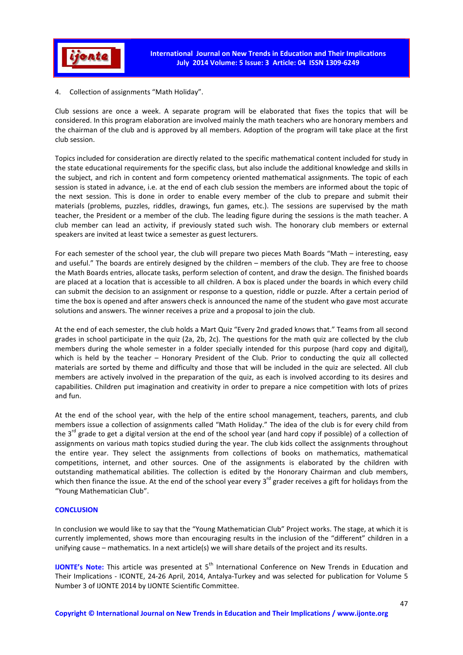

4. Collection of assignments "Math Holiday".

Club sessions are once a week. A separate program will be elaborated that fixes the topics that will be considered. In this program elaboration are involved mainly the math teachers who are honorary members and the chairman of the club and is approved by all members. Adoption of the program will take place at the first club session.

Topics included for consideration are directly related to the specific mathematical content included for study in the state educational requirements for the specific class, but also include the additional knowledge and skills in the subject, and rich in content and form competency oriented mathematical assignments. The topic of each session is stated in advance, i.e. at the end of each club session the members are informed about the topic of the next session. This is done in order to enable every member of the club to prepare and submit their materials (problems, puzzles, riddles, drawings, fun games, etc.). The sessions are supervised by the math teacher, the President or a member of the club. The leading figure during the sessions is the math teacher. A club member can lead an activity, if previously stated such wish. The honorary club members or external speakers are invited at least twice a semester as guest lecturers.

For each semester of the school year, the club will prepare two pieces Math Boards "Math – interesting, easy and useful." The boards are entirely designed by the children – members of the club. They are free to choose the Math Boards entries, allocate tasks, perform selection of content, and draw the design. The finished boards are placed at a location that is accessible to all children. A box is placed under the boards in which every child can submit the decision to an assignment or response to a question, riddle or puzzle. After a certain period of time the box is opened and after answers check is announced the name of the student who gave most accurate solutions and answers. The winner receives a prize and a proposal to join the club.

At the end of each semester, the club holds a Mart Quiz "Every 2nd graded knows that." Teams from all second grades in school participate in the quiz (2a, 2b, 2c). The questions for the math quiz are collected by the club members during the whole semester in a folder specially intended for this purpose (hard copy and digital), which is held by the teacher - Honorary President of the Club. Prior to conducting the quiz all collected materials are sorted by theme and difficulty and those that will be included in the quiz are selected. All club members are actively involved in the preparation of the quiz, as each is involved according to its desires and capabilities. Children put imagination and creativity in order to prepare a nice competition with lots of prizes and fun.

At the end of the school year, with the help of the entire school management, teachers, parents, and club members issue a collection of assignments called "Math Holiday." The idea of the club is for every child from the  $3<sup>rd</sup>$  grade to get a digital version at the end of the school year (and hard copy if possible) of a collection of assignments on various math topics studied during the year. The club kids collect the assignments throughout the entire year. They select the assignments from collections of books on mathematics, mathematical competitions, internet, and other sources. One of the assignments is elaborated by the children with outstanding mathematical abilities. The collection is edited by the Honorary Chairman and club members, which then finance the issue. At the end of the school year every  $3^{rd}$  grader receives a gift for holidays from the "Young Mathematician Club".

#### **CONCLUSION**

In conclusion we would like to say that the "Young Mathematician Club" Project works. The stage, at which it is currently implemented, shows more than encouraging results in the inclusion of the "different" children in a unifying cause – mathematics. In a next article(s) we will share details of the project and its results.

**IJONTE's Note:** This article was presented at 5<sup>th</sup> International Conference on New Trends in Education and Their Implications - ICONTE, 24-26 April, 2014, Antalya-Turkey and was selected for publication for Volume 5 Number 3 of IJONTE 2014 by IJONTE Scientific Committee.